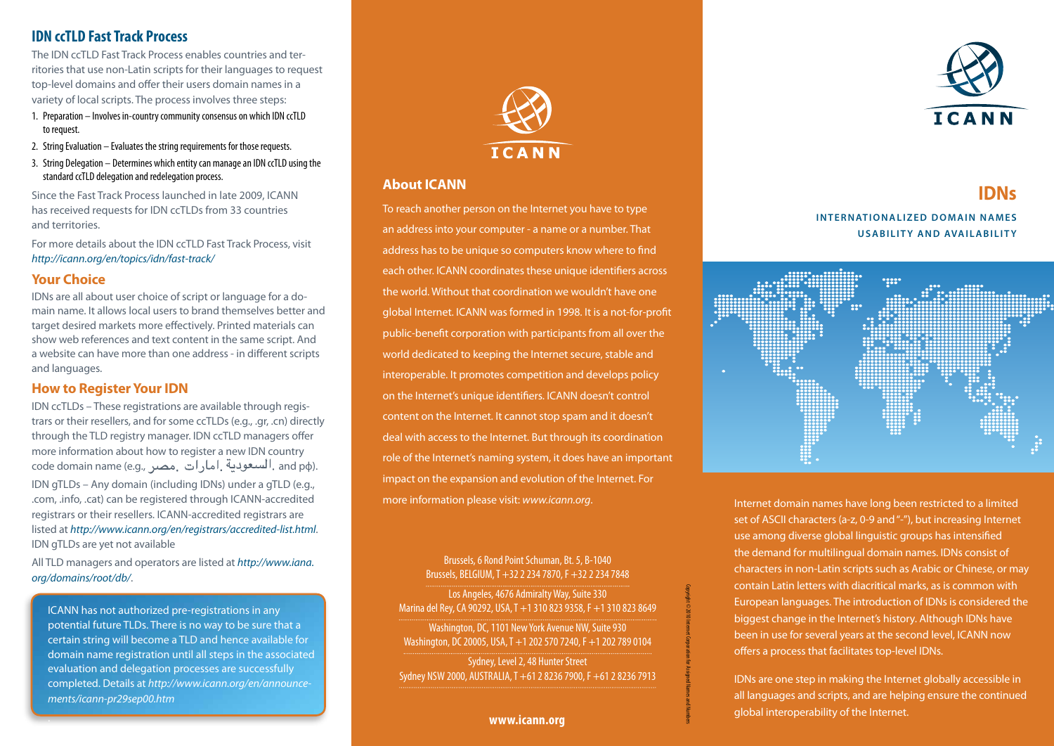## **IDN ccTLD Fast Track Process**

The IDN ccTLD Fast Track Process enables countries and territories that use non-Latin scripts for their languages to request top-level domains and offer their users domain names in a variety of local scripts. The process involves three steps:

- 1. Preparation Involves in-country community consensus on which IDN ccTLD to request.
- 2. String Evaluation Evaluates the string requirements for those requests.
- 3. String Delegation Determines which entity can manage an IDN ccTLD using the standard ccTLD delegation and redelegation process.

Since the Fast Track Process launched in late 2009, ICANN has received requests for IDN ccTLDs from 33 countries and territories.

For more details about the IDN ccTLD Fast Track Process, visit *http://icann.org/en/topics/idn/fast-track/* 

## **Your Choice**

.

IDNs are all about user choice of script or language for a domain name. It allows local users to brand themselves better and target desired markets more effectively. Printed materials can show web references and text content in the same script. And a website can have more than one address - in different scripts and languages.

## **How to Register Your IDN**

IDN ccTLDs – These registrations are available through registrars or their resellers, and for some ccTLDs (e.g., .gr, .cn) directly through the TLD registry manager. IDN ccTLD managers offer more information about how to register a new IDN country code domain name (e.g., السعودية إمارات مصر. and p $\phi$ ). IDN gTLDs – Any domain (including IDNs) under a gTLD (e.g., .com, .info, .cat) can be registered through ICANN-accredited registrars or their resellers. ICANN-accredited registrars are listed at *http://www.icann.org/en/registrars/accredited-list.html*. IDN gTLDs are yet not available

All TLD managers and operators are listed at *http://www.iana. org/domains/root/db/*.

ICANN has not authorized pre-registrations in any potential future TLDs. There is no way to be sure that a certain string will become a TLD and hence available for domain name registration until all steps in the associated evaluation and delegation processes are successfully completed. Details at *http://www.icann.org/en/announcements/icann-pr29sep00.htm*



## **About ICANN**

To reach another person on the Internet you have to type an address into your computer - a name or a number. That address has to be unique so computers know where to find each other. ICANN coordinates these unique identifiers across the world. Without that coordination we wouldn't have one global Internet. ICANN was formed in 1998. It is a not-for-profit public-benefit corporation with participants from all over the world dedicated to keeping the Internet secure, stable and interoperable. It promotes competition and develops policy on the Internet's unique identifiers. ICANN doesn't control content on the Internet. It cannot stop spam and it doesn't deal with access to the Internet. But through its coordination role of the Internet's naming system, it does have an important impact on the expansion and evolution of the Internet. For more information please visit: *www.icann.org*.

Brussels, 6 Rond Point Schuman, Bt. 5, B-1040 Brussels, BELGIUM,T +3222347870,F +3222347848 Los Angeles, 4676 Admiralty Way, Suite 330 Marinadel Rey,CA 90292, USA,T +13108239358,F +13108238649 Washington, DC, 1101 New York Avenue NW, Suite 930 Washington, DC20005, USA,T +12025707240,F +12027890104 Sydney, Level 2, 48 Hunter Street Sydney NSW2000, AUSTRALIA,T +61282367900,F +61282367913

Copyright©2010InternetCorporation

for Assigned Namesand Numbers





# **IDNs INTERNATIONALIZED DOMAIN NAMES USABILITY AND AVAILABILITY**



Internet domain names have long been restricted to a limited set of ASCII characters (a-z, 0-9 and "-"), but increasing Internet use among diverse global linguistic groups has intensified the demand for multilingual domain names. IDNs consist of characters in non-Latin scripts such as Arabic or Chinese, or may contain Latin letters with diacritical marks, as is common with European languages. The introduction of IDNs is considered the biggest change in the Internet's history. Although IDNs have been in use for several years at the second level, ICANN now offers a process that facilitates top-level IDNs.

IDNs are one step in making the Internet globally accessible in all languages and scripts, and are helping ensure the continued global interoperability of the Internet.